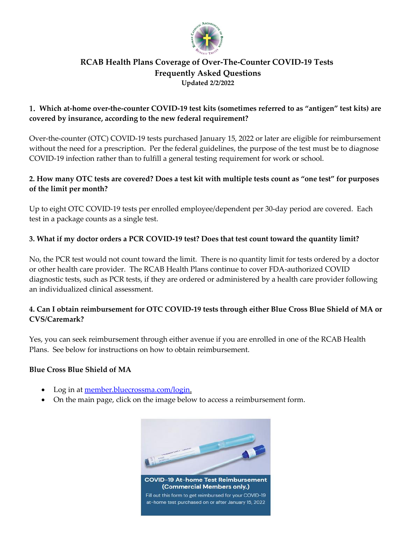

#### **RCAB Health Plans Coverage of Over-The-Counter COVID-19 Tests Frequently Asked Questions Updated 2/2/2022**

#### **Which at-home over-the-counter COVID-19 test kits (sometimes referred to as "antigen" test kits) are covered by insurance, according to the new federal requirement?**

Over-the-counter (OTC) COVID-19 tests purchased January 15, 2022 or later are eligible for reimbursement without the need for a prescription. Per the federal guidelines, the purpose of the test must be to diagnose COVID-19 infection rather than to fulfill a general testing requirement for work or school.

#### **2. How many OTC tests are covered? Does a test kit with multiple tests count as "one test" for purposes of the limit per month?**

Up to eight OTC COVID-19 tests per enrolled employee/dependent per 30-day period are covered. Each test in a package counts as a single test.

### **3. What if my doctor orders a PCR COVID-19 test? Does that test count toward the quantity limit?**

No, the PCR test would not count toward the limit. There is no quantity limit for tests ordered by a doctor or other health care provider. The RCAB Health Plans continue to cover FDA-authorized COVID diagnostic tests, such as PCR tests, if they are ordered or administered by a health care provider following an individualized clinical assessment.

### **4. Can I obtain reimbursement for OTC COVID-19 tests through either Blue Cross Blue Shield of MA or CVS/Caremark?**

Yes, you can seek reimbursement through either avenue if you are enrolled in one of the RCAB Health Plans. See below for instructions on how to obtain reimbursement.

#### **Blue Cross Blue Shield of MA**

- Log in at <u>member.bluecrossma.com/login.</u>
- On the main page, click on the image below to access a reimbursement form.

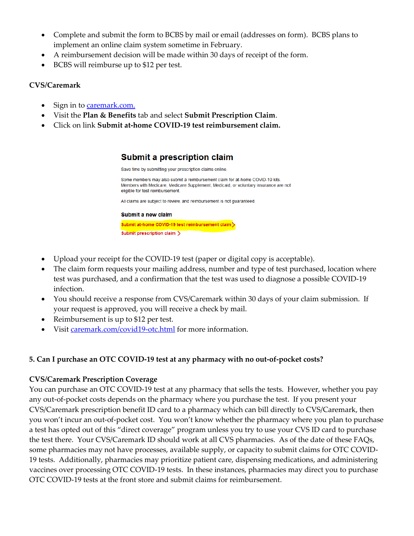- Complete and submit the form to BCBS by mail or email (addresses on form). BCBS plans to implement an online claim system sometime in February.
- A reimbursement decision will be made within 30 days of receipt of the form.
- BCBS will reimburse up to \$12 per test.

#### **CVS/Caremark**

- Sign in to [caremark.com.](https://www.caremark.com/)
- Visit the **Plan & Benefits** tab and select **Submit Prescription Claim**.
- Click on link **Submit at-home COVID-19 test reimbursement claim.**

# Submit a prescription claim

Save time by submitting your prescription claims online.

Some members may also submit a reimbursement claim for at-home COVID-19 kits. Members with Medicare, Medicare Supplement, Medicaid, or voluntary insurance are not eligible for test reimbursement.

All claims are subject to review, and reimbursement is not guaranteed.

#### Submit a new claim Submit at-home COVID-19 test reimbursement claim Submit prescription claim >

- Upload your receipt for the COVID-19 test (paper or digital copy is acceptable).
- The claim form requests your mailing address, number and type of test purchased, location where test was purchased, and a confirmation that the test was used to diagnose a possible COVID-19 infection.
- You should receive a response from CVS/Caremark within 30 days of your claim submission. If your request is approved, you will receive a check by mail.
- Reimbursement is up to \$12 per test.
- Visit [caremark.com/covid19-otc.html](https://www.caremark.com/covid19-otc.html) for more information.

## **5. Can I purchase an OTC COVID-19 test at any pharmacy with no out-of-pocket costs?**

## **CVS/Caremark Prescription Coverage**

You can purchase an OTC COVID-19 test at any pharmacy that sells the tests. However, whether you pay any out-of-pocket costs depends on the pharmacy where you purchase the test. If you present your CVS/Caremark prescription benefit ID card to a pharmacy which can bill directly to CVS/Caremark, then you won't incur an out-of-pocket cost. You won't know whether the pharmacy where you plan to purchase a test has opted out of this "direct coverage" program unless you try to use your CVS ID card to purchase the test there. Your CVS/Caremark ID should work at all CVS pharmacies. As of the date of these FAQs, some pharmacies may not have processes, available supply, or capacity to submit claims for OTC COVID-19 tests. Additionally, pharmacies may prioritize patient care, dispensing medications, and administering vaccines over processing OTC COVID-19 tests. In these instances, pharmacies may direct you to purchase OTC COVID-19 tests at the front store and submit claims for reimbursement.